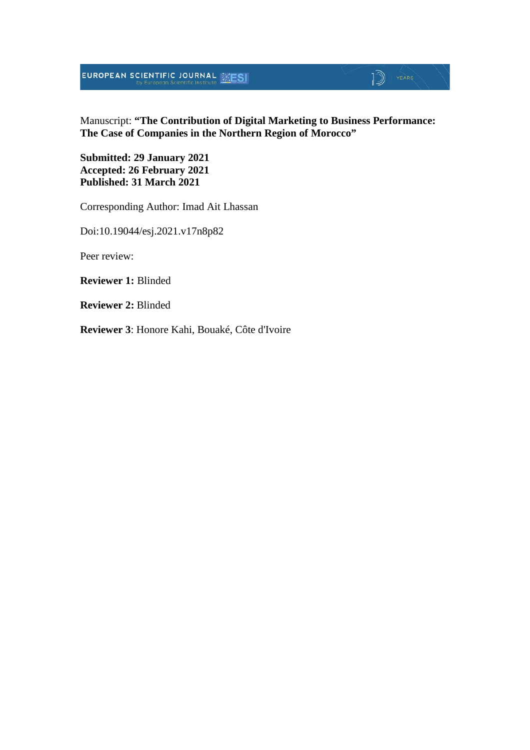**EUROPEAN SCIENTIFIC JOURNAL SESI** 

## $\mathbb{D}$  YEARS

Manuscript: **"The Contribution of Digital Marketing to Business Performance: The Case of Companies in the Northern Region of Morocco"**

**Submitted: 29 January 2021 Accepted: 26 February 2021 Published: 31 March 2021**

Corresponding Author: Imad Ait Lhassan

Doi:10.19044/esj.2021.v17n8p82

Peer review:

**Reviewer 1:** Blinded

**Reviewer 2:** Blinded

**Reviewer 3**: Honore Kahi, Bouaké, Côte d'Ivoire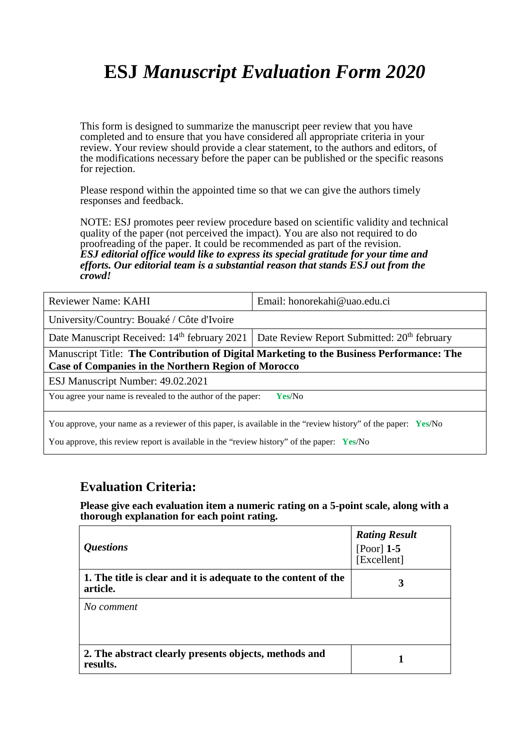# **ESJ** *Manuscript Evaluation Form 2020*

This form is designed to summarize the manuscript peer review that you have completed and to ensure that you have considered all appropriate criteria in your review. Your review should provide a clear statement, to the authors and editors, of the modifications necessary before the paper can be published or the specific reasons for rejection.

Please respond within the appointed time so that we can give the authors timely responses and feedback.

NOTE: ESJ promotes peer review procedure based on scientific validity and technical quality of the paper (not perceived the impact). You are also not required to do proofreading of the paper. It could be recommended as part of the revision. *ESJ editorial office would like to express its special gratitude for your time and efforts. Our editorial team is a substantial reason that stands ESJ out from the crowd!* 

| Reviewer Name: KAHI                                                                                                                                                                                                  | Email: honorekahi@uao.edu.ci                            |  |  |
|----------------------------------------------------------------------------------------------------------------------------------------------------------------------------------------------------------------------|---------------------------------------------------------|--|--|
| University/Country: Bouaké / Côte d'Ivoire                                                                                                                                                                           |                                                         |  |  |
| Date Manuscript Received: 14 <sup>th</sup> february 2021                                                                                                                                                             | Date Review Report Submitted: 20 <sup>th</sup> february |  |  |
| Manuscript Title: The Contribution of Digital Marketing to the Business Performance: The<br><b>Case of Companies in the Northern Region of Morocco</b>                                                               |                                                         |  |  |
| ESJ Manuscript Number: 49.02.2021                                                                                                                                                                                    |                                                         |  |  |
| You agree your name is revealed to the author of the paper:<br>Yes/No                                                                                                                                                |                                                         |  |  |
| You approve, your name as a reviewer of this paper, is available in the "review history" of the paper: Yes/No<br>You approve, this review report is available in the "review history" of the paper: $Y \text{es/No}$ |                                                         |  |  |

#### **Evaluation Criteria:**

**Please give each evaluation item a numeric rating on a 5-point scale, along with a thorough explanation for each point rating.**

| <i><b>Questions</b></i>                                                    | <b>Rating Result</b><br>[Poor] $1-5$<br>[Excellent] |
|----------------------------------------------------------------------------|-----------------------------------------------------|
| 1. The title is clear and it is adequate to the content of the<br>article. | 3                                                   |
| No comment                                                                 |                                                     |
| 2. The abstract clearly presents objects, methods and<br>results.          |                                                     |